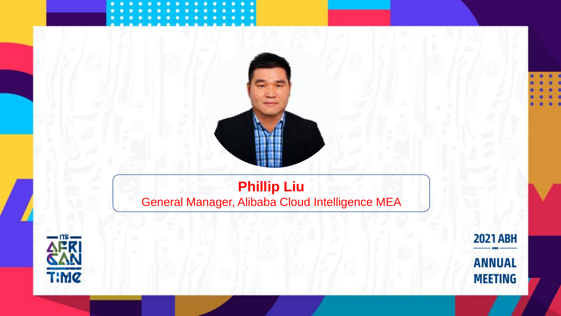# **Phillip Liu** General Manager, Alibaba Cloud Intelligence MEA

**Your photo** 



**2021 ABH ANNUAL MEETING**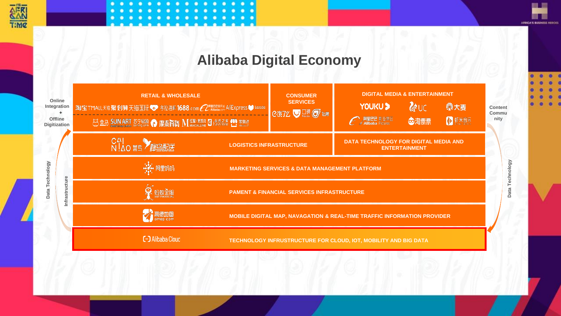



## **Alibaba Digital Economy**

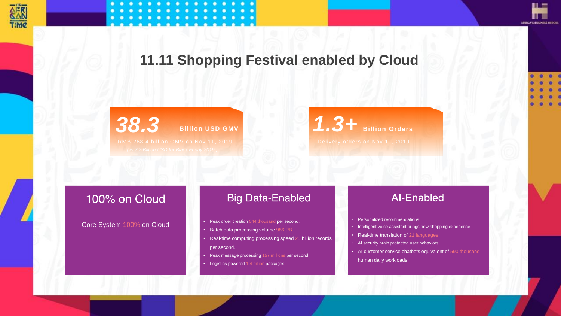



## **11.11 Shopping Festival enabled by Cloud**

**38.3 Billion USD GMV 11, 2019 38.4 Billion Orders** 

#### 100% on Cloud

Core System 100% on Cloud

#### **Big Data-Enabled**

- Peak order creation 544 thousand per second.
- Batch data processing volume 986 PB.
- • Real-time computing processing speed 25 billion records per second.
- Peak message processing 157 millions per second.
- Logistics powered 1.4 billion packages.

#### **Al-Enabled**

- Personalized recommendations
- Intelligent voice assistant brings new shopping experience
- Real-time translation of 21 languages
- AI security brain protected user behaviors
- AI customer service chatbots equivalent of 590 thousand human daily workloads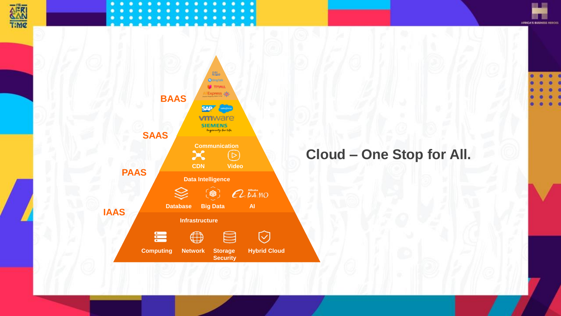







# **Cloud – One Stop for All.**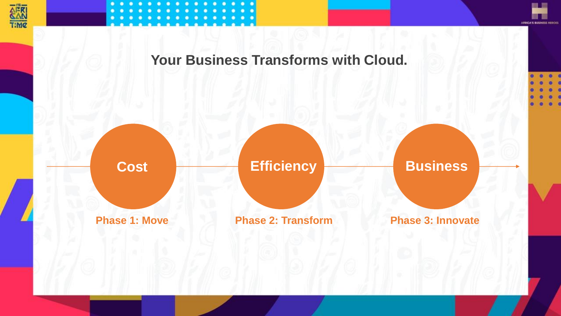



皿三 **MILE APRICA'S BUSINESS HEDGES** 

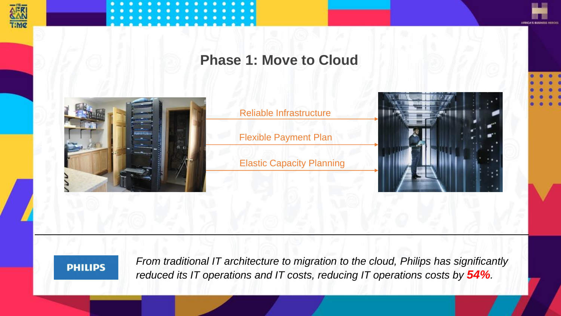



**Phase 1: Move to Cloud**



Reliable Infrastructure

Flexible Payment Plan

Elastic Capacity Planning



Ⅲ ≡

**MILLER APRICA'S BUSINESS HEROE** 



*From traditional IT architecture to migration to the cloud, Philips has significantly reduced its IT operations and IT costs, reducing IT operations costs by 54%.*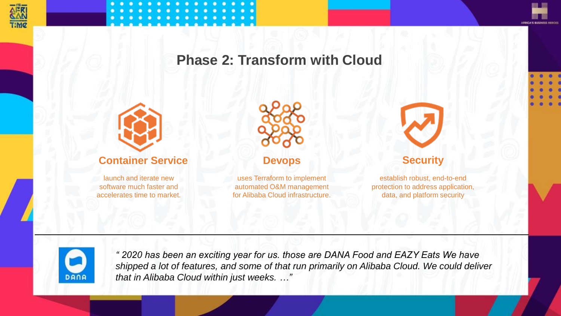



Ⅲ≡ **THE REAL ARICA'S BUSINESS HEDGE** 

## **Phase 2: Transform with Cloud**





*" 2020 has been an exciting year for us. those are DANA Food and EAZY Eats We have shipped a lot of features, and some of that run primarily on Alibaba Cloud. We could deliver that in Alibaba Cloud within just weeks. …"*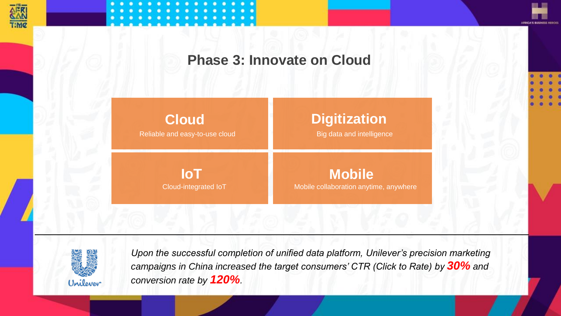



**Phase 3: Innovate on Cloud**

Reliable and easy-to-use cloud Big data and intelligence **Cloud Digitization**

Cloud-integrated IoT **Mobile collaboration anytime, anywhere IoT Mobile** 



*Upon the successful completion of unified data platform, Unilever's precision marketing campaigns in China increased the target consumers' CTR (Click to Rate) by 30% and conversion rate by 120%.*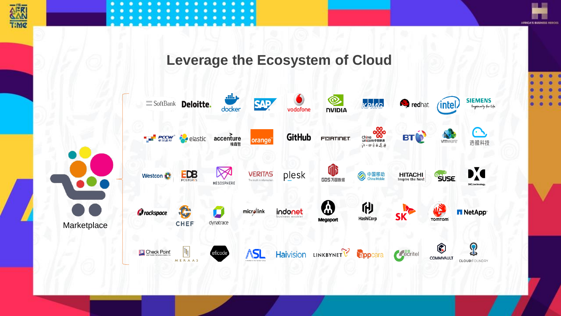



皿三 **THE REAL APRICA'S BUSINESS HEROES** 

## **Leverage the Ecosystem of Cloud**